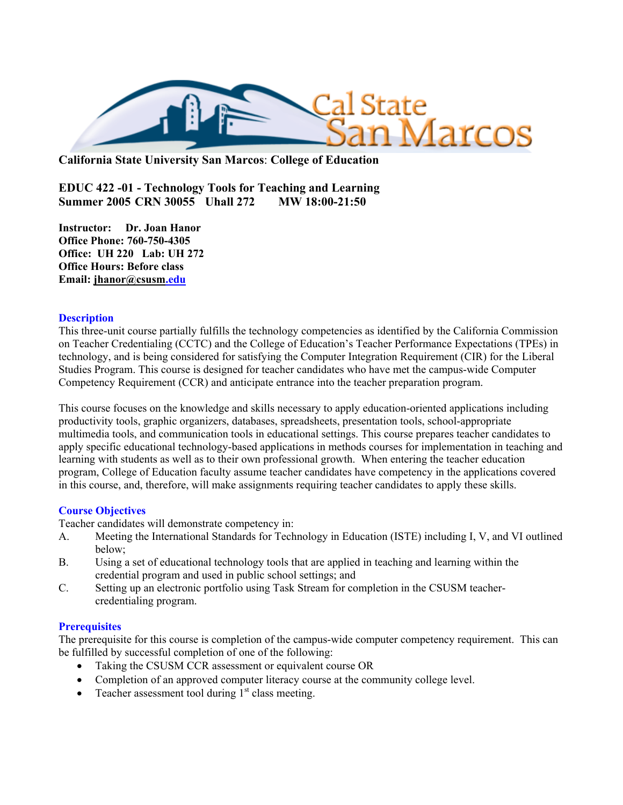

**California State University San Marcos**: **College of Education**

**EDUC 422 -01 - Technology Tools for Teaching and Learning Summer 2005 CRN 30055 Uhall 272 MW 18:00-21:50** 

**Instructor: Dr. Joan Hanor Office Phone: 760-750-4305 Office: UH 220 Lab: UH 272 Office Hours: Before class Email: jhanor@csusm.edu**

## **Description**

This three-unit course partially fulfills the technology competencies as identified by the California Commission on Teacher Credentialing (CCTC) and the College of Education's Teacher Performance Expectations (TPEs) in technology, and is being considered for satisfying the Computer Integration Requirement (CIR) for the Liberal Studies Program. This course is designed for teacher candidates who have met the campus-wide Computer Competency Requirement (CCR) and anticipate entrance into the teacher preparation program.

This course focuses on the knowledge and skills necessary to apply education-oriented applications including productivity tools, graphic organizers, databases, spreadsheets, presentation tools, school-appropriate multimedia tools, and communication tools in educational settings. This course prepares teacher candidates to apply specific educational technology-based applications in methods courses for implementation in teaching and learning with students as well as to their own professional growth. When entering the teacher education program, College of Education faculty assume teacher candidates have competency in the applications covered in this course, and, therefore, will make assignments requiring teacher candidates to apply these skills.

## **Course Objectives**

Teacher candidates will demonstrate competency in:

- A. Meeting the International Standards for Technology in Education (ISTE) including I, V, and VI outlined below;
- B. Using a set of educational technology tools that are applied in teaching and learning within the credential program and used in public school settings; and
- C. Setting up an electronic portfolio using Task Stream for completion in the CSUSM teachercredentialing program.

#### **Prerequisites**

The prerequisite for this course is completion of the campus-wide computer competency requirement. This can be fulfilled by successful completion of one of the following:

- Taking the CSUSM CCR assessment or equivalent course OR
- Completion of an approved computer literacy course at the community college level.
- Teacher assessment tool during  $1<sup>st</sup>$  class meeting.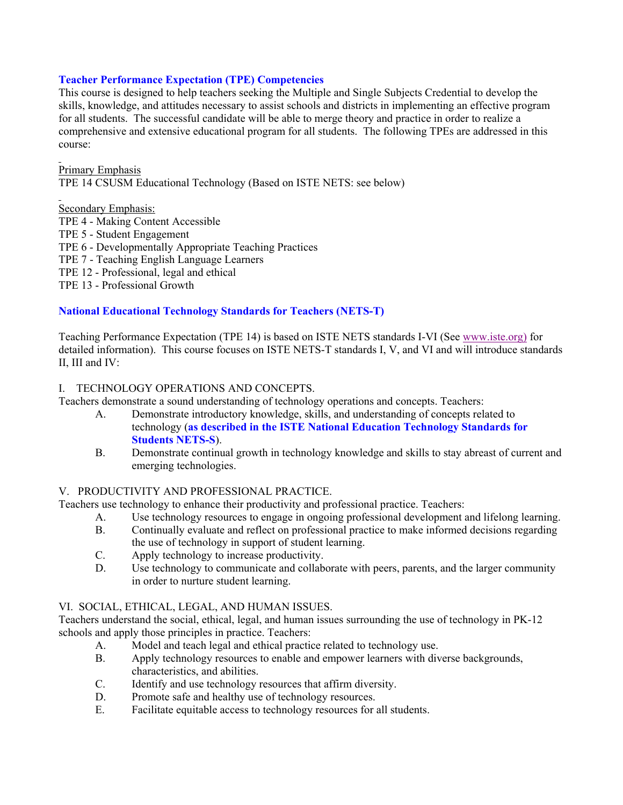## **Teacher Performance Expectation (TPE) Competencies**

This course is designed to help teachers seeking the Multiple and Single Subjects Credential to develop the skills, knowledge, and attitudes necessary to assist schools and districts in implementing an effective program for all students. The successful candidate will be able to merge theory and practice in order to realize a comprehensive and extensive educational program for all students. The following TPEs are addressed in this course:

Primary Emphasis

TPE 14 CSUSM Educational Technology (Based on ISTE NETS: see below)

## Secondary Emphasis:

- TPE 4 Making Content Accessible
- TPE 5 Student Engagement
- TPE 6 Developmentally Appropriate Teaching Practices
- TPE 7 Teaching English Language Learners
- TPE 12 Professional, legal and ethical
- TPE 13 Professional Growth

# **National Educational Technology Standards for Teachers (NETS-T)**

Teaching Performance Expectation (TPE 14) is based on ISTE NETS standards I-VI (See www.iste.org) for detailed information). This course focuses on ISTE NETS-T standards I, V, and VI and will introduce standards II, III and IV:

## I. TECHNOLOGY OPERATIONS AND CONCEPTS.

Teachers demonstrate a sound understanding of technology operations and concepts. Teachers:

- A. Demonstrate introductory knowledge, skills, and understanding of concepts related to technology (**as described in the ISTE National Education Technology Standards for Students NETS-S**).
- B. Demonstrate continual growth in technology knowledge and skills to stay abreast of current and emerging technologies.

## V. PRODUCTIVITY AND PROFESSIONAL PRACTICE.

Teachers use technology to enhance their productivity and professional practice. Teachers:

- A. Use technology resources to engage in ongoing professional development and lifelong learning.
- B. Continually evaluate and reflect on professional practice to make informed decisions regarding the use of technology in support of student learning.
- C. Apply technology to increase productivity.
- D. Use technology to communicate and collaborate with peers, parents, and the larger community in order to nurture student learning.

# VI. SOCIAL, ETHICAL, LEGAL, AND HUMAN ISSUES.

Teachers understand the social, ethical, legal, and human issues surrounding the use of technology in PK-12 schools and apply those principles in practice. Teachers:

- A. Model and teach legal and ethical practice related to technology use.
- B. Apply technology resources to enable and empower learners with diverse backgrounds, characteristics, and abilities.
- C. Identify and use technology resources that affirm diversity.
- D. Promote safe and healthy use of technology resources.
- E. Facilitate equitable access to technology resources for all students.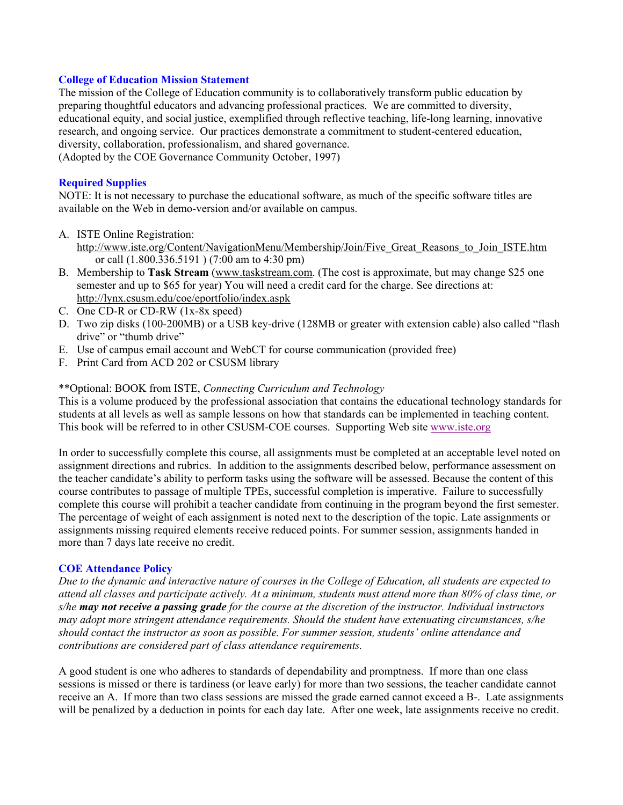## **College of Education Mission Statement**

The mission of the College of Education community is to collaboratively transform public education by preparing thoughtful educators and advancing professional practices. We are committed to diversity, educational equity, and social justice, exemplified through reflective teaching, life-long learning, innovative research, and ongoing service. Our practices demonstrate a commitment to student-centered education, diversity, collaboration, professionalism, and shared governance.

(Adopted by the COE Governance Community October, 1997)

#### **Required Supplies**

NOTE: It is not necessary to purchase the educational software, as much of the specific software titles are available on the Web in demo-version and/or available on campus.

- A. ISTE Online Registration:
	- http://www.iste.org/Content/NavigationMenu/Membership/Join/Five\_Great\_Reasons\_to\_Join\_ISTE.htm or call (1.800.336.5191 ) (7:00 am to 4:30 pm)
- B. Membership to **Task Stream** (www.taskstream.com. (The cost is approximate, but may change \$25 one semester and up to \$65 for year) You will need a credit card for the charge. See directions at: http://lynx.csusm.edu/coe/eportfolio/index.aspk
- C. One CD-R or CD-RW (1x-8x speed)
- D. Two zip disks (100-200MB) or a USB key-drive (128MB or greater with extension cable) also called "flash drive" or "thumb drive"
- E. Use of campus email account and WebCT for course communication (provided free)
- F. Print Card from ACD 202 or CSUSM library

#### \*\*Optional: BOOK from ISTE, *Connecting Curriculum and Technology*

This is a volume produced by the professional association that contains the educational technology standards for students at all levels as well as sample lessons on how that standards can be implemented in teaching content. This book will be referred to in other CSUSM-COE courses. Supporting Web site www.iste.org

In order to successfully complete this course, all assignments must be completed at an acceptable level noted on assignment directions and rubrics. In addition to the assignments described below, performance assessment on the teacher candidate's ability to perform tasks using the software will be assessed. Because the content of this course contributes to passage of multiple TPEs, successful completion is imperative. Failure to successfully complete this course will prohibit a teacher candidate from continuing in the program beyond the first semester. The percentage of weight of each assignment is noted next to the description of the topic. Late assignments or assignments missing required elements receive reduced points. For summer session, assignments handed in more than 7 days late receive no credit.

#### **COE Attendance Policy**

*Due to the dynamic and interactive nature of courses in the College of Education, all students are expected to attend all classes and participate actively. At a minimum, students must attend more than 80% of class time, or s/he may not receive a passing grade for the course at the discretion of the instructor. Individual instructors may adopt more stringent attendance requirements. Should the student have extenuating circumstances, s/he should contact the instructor as soon as possible. For summer session, students' online attendance and contributions are considered part of class attendance requirements.*

A good student is one who adheres to standards of dependability and promptness. If more than one class sessions is missed or there is tardiness (or leave early) for more than two sessions, the teacher candidate cannot receive an A. If more than two class sessions are missed the grade earned cannot exceed a B-. Late assignments will be penalized by a deduction in points for each day late. After one week, late assignments receive no credit.